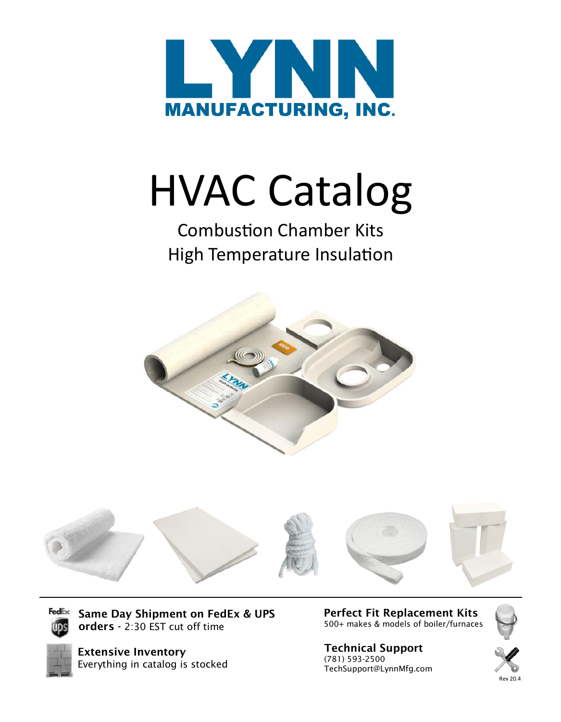

# HVAC Catalog

# Combustion Chamber Kits High Temperature Insulation





**FedEx** Same Day Shipment on FedEx & UPS orders - 2:30 EST cut off time



Extensive Inventory Everything in catalog is stocked Perfect Fit Replacement Kits 500+ makes & models of boiler/furnaces

#### Technical Support (781) 593-2500 TechSupport@LynnMfg.com



Rev 20.4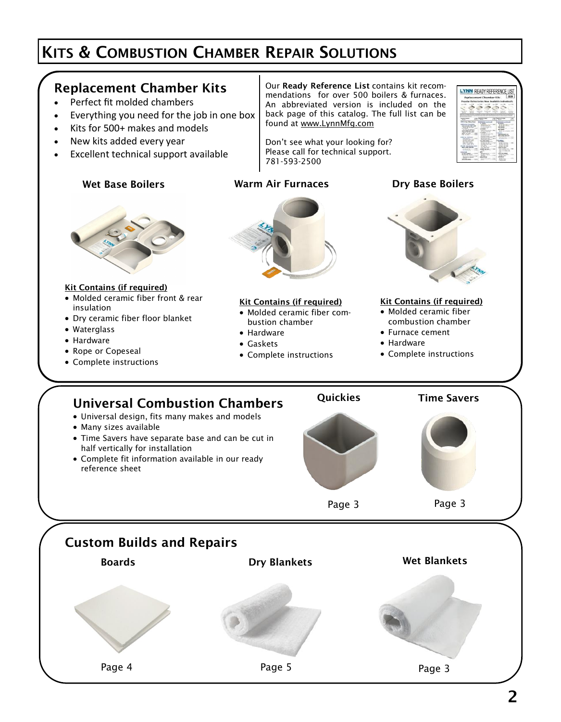# KITS & COMBUSTION CHAMBER REPAIR SOLUTIONS

#### Replacement Chamber Kits

- Perfect fit molded chambers
- Everything you need for the job in one box
- Kits for 500+ makes and models
- New kits added every year
- Excellent technical support available

#### Wet Base Boilers **Marm Air Furnaces** Boilers Boilers Boilers

Our Ready Reference List contains kit recommendations for over 500 boilers & furnaces. An abbreviated version is included on the back page of this catalog. The full list can be found at www.LynnMfg.com

Don't see what your looking for? Please call for technical support. 781-593-2500

# LYNN READY REFERENCE LIST

#### Kit Contains (if required)

- Molded ceramic fiber front & rear insulation
- Dry ceramic fiber floor blanket
- Waterglass
- Hardware
- Rope or Copeseal
- Complete instructions



#### Kit Contains (if required)

- Molded ceramic fiber combustion chamber
- Hardware
- Gaskets
- Complete instructions



#### Kit Contains (if required)

- Molded ceramic fiber combustion chamber
- Furnace cement
- Hardware
- Complete instructions

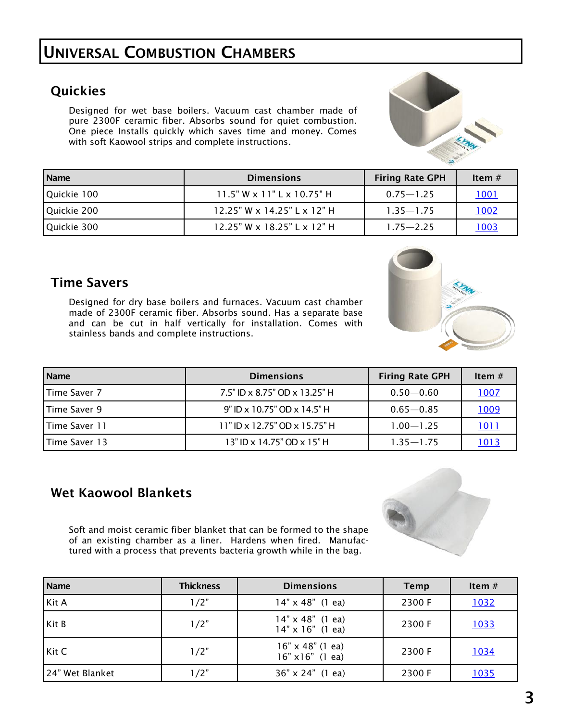# UNIVERSAL COMBUSTION CHAMBERS

# **Quickies**

Designed for wet base boilers. Vacuum cast chamber made of pure 2300F ceramic fiber. Absorbs sound for quiet combustion. One piece Installs quickly which saves time and money. Comes with soft Kaowool strips and complete instructions.

| <b>Name</b> | <b>Dimensions</b>                    | <b>Firing Rate GPH</b> | Item $#$ |
|-------------|--------------------------------------|------------------------|----------|
| Quickie 100 | $11.5"$ W x $11"$ L x $10.75"$ H     | $0.75 - 1.25$          | 1001     |
| Quickie 200 | $12.25"$ W x $14.25"$ L x $12"$ H    | $1.35 - 1.75$          | 1002     |
| Quickie 300 | $12.25$ " W x $18.25$ " L x $12$ " H | $1.75 - 2.25$          | 1003     |

#### Time Savers

Designed for dry base boilers and furnaces. Vacuum cast chamber made of 2300F ceramic fiber. Absorbs sound. Has a separate base and can be cut in half vertically for installation. Comes with stainless bands and complete instructions.

| Name            | <b>Dimensions</b>             | <b>Firing Rate GPH</b> | Item $#$ |
|-----------------|-------------------------------|------------------------|----------|
| Time Saver 7    | 7.5" ID x 8.75" OD x 13.25" H | $0.50 - 0.60$          | 1007     |
| Time Saver 9    | 9" ID x 10.75" OD x 14.5" H   | $0.65 - 0.85$          | 1009     |
| l Time Saver 11 | 11" ID x 12.75" OD x 15.75" H | $1.00 - 1.25$          | 1011     |
| Time Saver 13   | 13" ID x 14.75" OD x 15" H    | $1.35 - 1.75$          | 1013     |

# Wet Kaowool Blankets

Soft and moist ceramic fiber blanket that can be formed to the shape of an existing chamber as a liner. Hardens when fired. Manufactured with a process that prevents bacteria growth while in the bag.

| <b>Name</b>     | <b>Thickness</b> | <b>Dimensions</b>                                  | <b>Temp</b> | Item $#$    |
|-----------------|------------------|----------------------------------------------------|-------------|-------------|
| Kit A           | 1/2"             | $14" \times 48"$ (1 ea)                            | 2300 F      | <u>1032</u> |
| Kit B           | 1/2"             | $14" \times 48"$ (1 ea)<br>$14" \times 16"$ (1 ea) | 2300 F      | <u>1033</u> |
| Kit C           | 1/2"             | $16" \times 48"$ (1 ea)<br>$16" \times 16"$ (1 ea) | 2300 F      | <u>1034</u> |
| 24" Wet Blanket | 1/2"             | $36'' \times 24''$ (1 ea)                          | 2300 F      | <u>1035</u> |





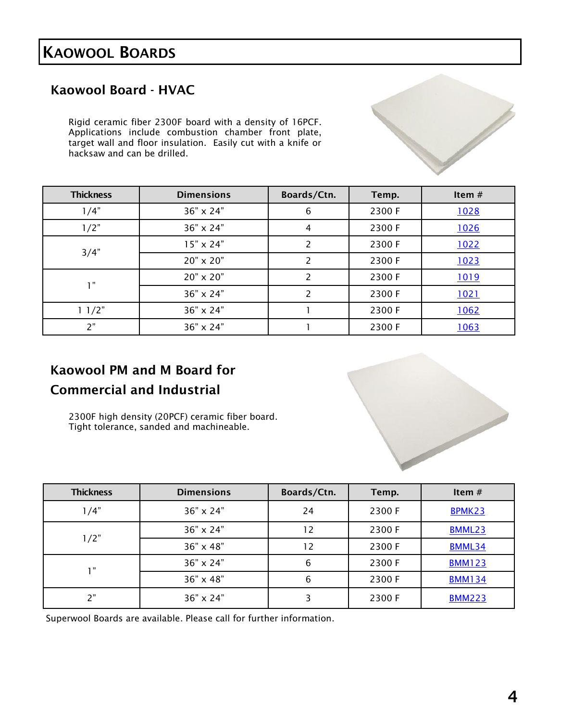# KAOWOOL BOARDS

# Kaowool Board - HVAC

Rigid ceramic fiber 2300F board with a density of 16PCF. Applications include combustion chamber front plate, target wall and floor insulation. Easily cut with a knife or hacksaw and can be drilled.

| <b>Thickness</b> | <b>Dimensions</b> | Boards/Ctn. | Temp.  | Item $#$    |
|------------------|-------------------|-------------|--------|-------------|
| 1/4"             | 36" x 24"         | 6           | 2300 F | 1028        |
| 1/2"             | 36" x 24"         | 4           | 2300 F | 1026        |
|                  | $15" \times 24"$  | 2           | 2300 F | 1022        |
| 3/4"             | 20" x 20"         | 2           | 2300 F | 1023        |
| 1"               | 20" x 20"         | 2           | 2300 F | <u>1019</u> |
|                  | 36" x 24"         | 2           | 2300 F | 1021        |
| 11/2"            | 36" x 24"         |             | 2300 F | 1062        |
| 2"               | 36" x 24"         |             | 2300 F | 1063        |

# Kaowool PM and M Board for Commercial and Industrial

2300F high density (20PCF) ceramic fiber board. Tight tolerance, sanded and machineable.

| <b>Thickness</b> | <b>Dimensions</b> | Boards/Ctn. | Temp.  | Item $#$      |
|------------------|-------------------|-------------|--------|---------------|
| 1/4"             | 36" x 24"         | 24          | 2300 F | BPMK23        |
|                  | $36" \times 24"$  | 12          | 2300 F | <b>BMML23</b> |
| 1/2"             | 36" x 48"         | 12          | 2300 F | BMML34        |
| 1"               | 36" x 24"         | 6           | 2300 F | <b>BMM123</b> |
|                  | 36" x 48"         | 6           | 2300 F | <b>BMM134</b> |
| ን"               | 36" x 24"         | 3           | 2300 F | <b>BMM223</b> |

Superwool Boards are available. Please call for further information.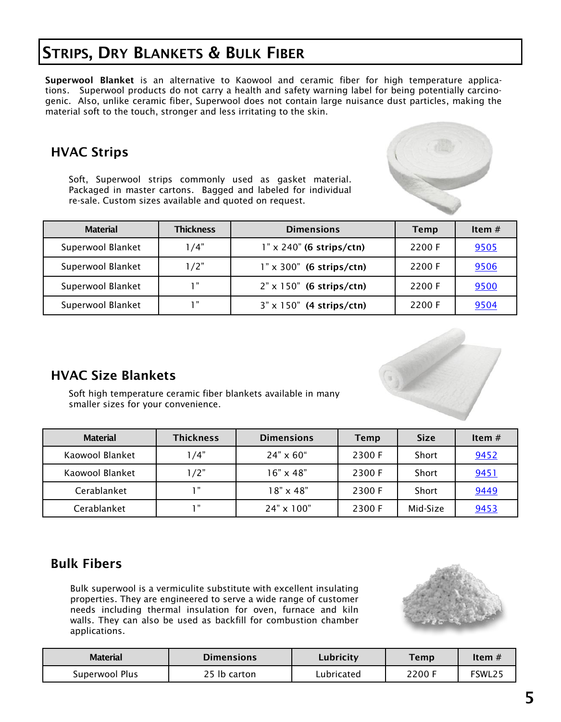# STRIPS, DRY BLANKETS & BULK FIBER

Superwool Blanket is an alternative to Kaowool and ceramic fiber for high temperature applications. Superwool products do not carry a health and safety warning label for being potentially carcinogenic. Also, unlike ceramic fiber, Superwool does not contain large nuisance dust particles, making the material soft to the touch, stronger and less irritating to the skin.

# HVAC Strips

Soft, Superwool strips commonly used as gasket material. Packaged in master cartons. Bagged and labeled for individual re-sale. Custom sizes available and quoted on request.



# HVAC Size Blankets

Soft high temperature ceramic fiber blankets available in many smaller sizes for your convenience.

| <b>Material</b> | <b>Thickness</b> | <b>Dimensions</b> | <b>Temp</b> | <b>Size</b> | Item $#$ |
|-----------------|------------------|-------------------|-------------|-------------|----------|
| Kaowool Blanket | 1/4"             | $24" \times 60"$  | 2300 F      | Short       | 9452     |
| Kaowool Blanket | 1/2"             | $16" \times 48"$  | 2300 F      | Short       | 9451     |
| Cerablanket     | " ו              | $18" \times 48"$  | 2300 F      | Short       | 9449     |
| Cerablanket     | יי ד             | 24" x 100"        | 2300 F      | Mid-Size    | 9453     |

# Bulk Fibers

Bulk superwool is a vermiculite substitute with excellent insulating properties. They are engineered to serve a wide range of customer needs including thermal insulation for oven, furnace and kiln walls. They can also be used as backfill for combustion chamber applications.



| <b>Material</b> | <b>Dimensions</b> | Lubricity  | Temp   | Item $#$ |
|-----------------|-------------------|------------|--------|----------|
| Superwool Plus  | 25 lb carton      | Lubricated | 2200 F | FSWL25   |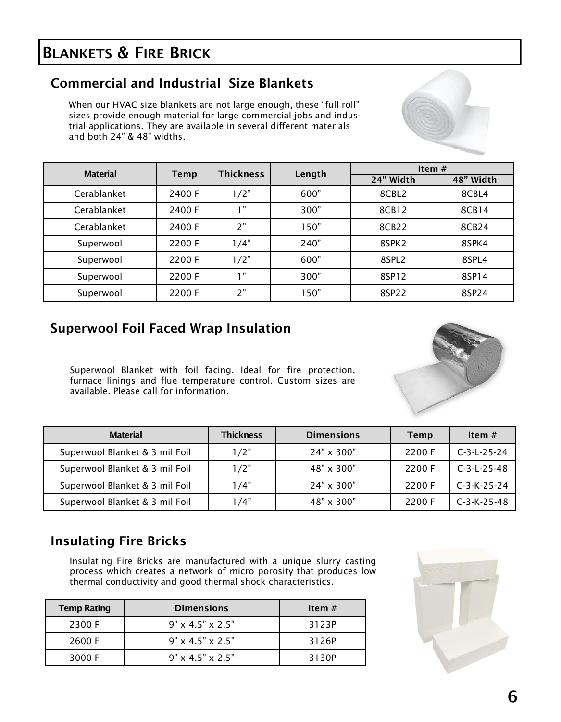# BLANKETS & FIRE BRICK

# Commercial and Industrial Size Blankets

When our HVAC size blankets are not large enough, these "full roll" sizes provide enough material for large commercial jobs and industrial applications. They are available in several different materials and both 24" & 48" widths.



| <b>Material</b> |        | <b>Thickness</b> | Length | Item $#$          |           |
|-----------------|--------|------------------|--------|-------------------|-----------|
|                 | Temp   |                  |        | 24" Width         | 48" Width |
| Cerablanket     | 2400 F | 1/2"             | 600"   | 8CBL2             | 8CBL4     |
| Cerablanket     | 2400 F | "י               | 300"   | 8CB12             | 8CB14     |
| Cerablanket     | 2400 F | 2"               | 150"   | 8CB22             | 8CB24     |
| Superwool       | 2200 F | 1/4"             | 240"   | 8SPK <sub>2</sub> | 8SPK4     |
| Superwool       | 2200 F | 1/2"             | 600"   | 8SPL <sub>2</sub> | 8SPL4     |
| Superwool       | 2200 F | <b>1</b> "       | 300"   | 8SP12             | 8SP14     |
| Superwool       | 2200 F | 2"               | 150"   | 8SP22             | 8SP24     |

#### Superwool Foil Faced Wrap Insulation

Superwool Blanket with foil facing. Ideal for fire protection, furnace linings and flue temperature control. Custom sizes are available. Please call for information.

| <b>Material</b>                | <b>Thickness</b> | <b>Dimensions</b> | <b>Temp</b> | Item $#$      |
|--------------------------------|------------------|-------------------|-------------|---------------|
| Superwool Blanket & 3 mil Foil | 1/2"             | $24" \times 300"$ | 2200 F      | $C-3-L-25-24$ |
| Superwool Blanket & 3 mil Foil | 1/2"             | $48" \times 300"$ | 2200 F      | $C-3-L-25-48$ |
| Superwool Blanket & 3 mil Foil | 1/4"             | $24" \times 300"$ | 2200 F      | $C-3-K-25-24$ |
| Superwool Blanket & 3 mil Foil | 1 /4"            | $48" \times 300"$ | 2200 F      | $C-3-K-25-48$ |

# Insulating Fire Bricks

Insulating Fire Bricks are manufactured with a unique slurry casting process which creates a network of micro porosity that produces low thermal conductivity and good thermal shock characteristics.

| <b>Temp Rating</b> | <b>Dimensions</b>            | Item $#$ |
|--------------------|------------------------------|----------|
| 2300 F             | $9" \times 4.5" \times 2.5"$ | 3123P    |
| 2600 F             | $9" \times 4.5" \times 2.5"$ | 3126P    |
| 3000 F             | $9" \times 4.5" \times 2.5"$ | 3130P    |

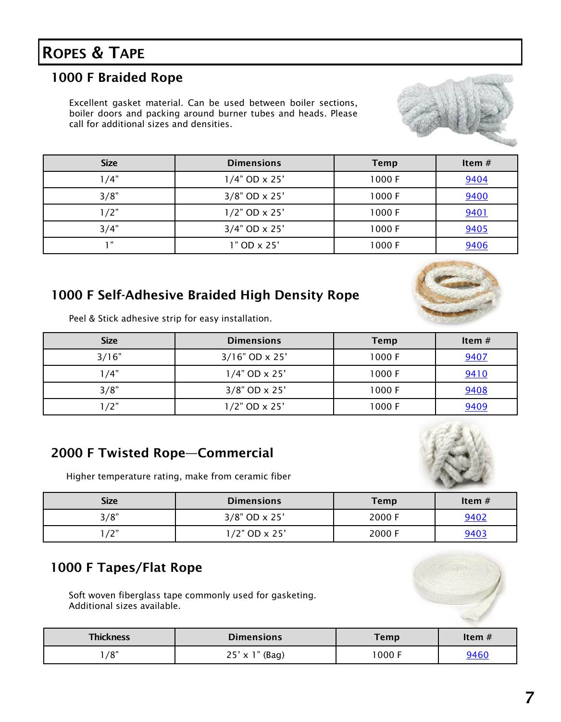# ROPES & TAPE

### 1000 F Braided Rope

Excellent gasket material. Can be used between boiler sections, boiler doors and packing around burner tubes and heads. Please call for additional sizes and densities.



| <b>Size</b> | <b>Dimensions</b>      | <b>Temp</b> | Item $#$ |
|-------------|------------------------|-------------|----------|
| 1/4"        | $1/4"$ OD $\times$ 25' | 1000 F      | 9404     |
| 3/8"        | $3/8$ " OD x 25'       | 1000 F      | 9400     |
| 1/2"        | $1/2$ " OD x 25'       | 1000 F      | 9401     |
| 3/4"        | $3/4"$ OD x 25'        | 1000F       | 9405     |
| 1"          | 1" OD x 25'            | 1000 F      | 9406     |

#### 1000 F Self-Adhesive Braided High Density Rope

Peel & Stick adhesive strip for easy installation.

| <b>Size</b> | <b>Dimensions</b> | <b>Temp</b> | Item# |
|-------------|-------------------|-------------|-------|
| 3/16"       | $3/16"$ OD x 25'  | 1000 F      | 9407  |
| 1/4"        | $1/4"$ OD x 25'   | 1000 F      | 9410  |
| 3/8"        | $3/8$ " OD x 25'  | 1000 F      | 9408  |
| /2"         | $1/2$ " OD x 25'  | 1000 F      | 9409  |

#### 2000 F Twisted Rope—Commercial

Higher temperature rating, make from ceramic fiber



| <b>Size</b> | <b>Dimensions</b> | <b>Temp</b> | Item $#$    |
|-------------|-------------------|-------------|-------------|
| 3/8"        | $3/8$ " OD x 25'  | 2000 F      | 9402        |
| $1/2$ "     | 1/2" OD x 25'     | 2000 F      | <u>9403</u> |

# 1000 F Tapes/Flat Rope

Soft woven fiberglass tape commonly used for gasketing. Additional sizes available.



| <b>Thickness</b> | Dimensions             | <b>Temp</b> | Item $#$    |
|------------------|------------------------|-------------|-------------|
| /8"              | $25' \times 1''$ (Bag) | 000 F       | <u>9460</u> |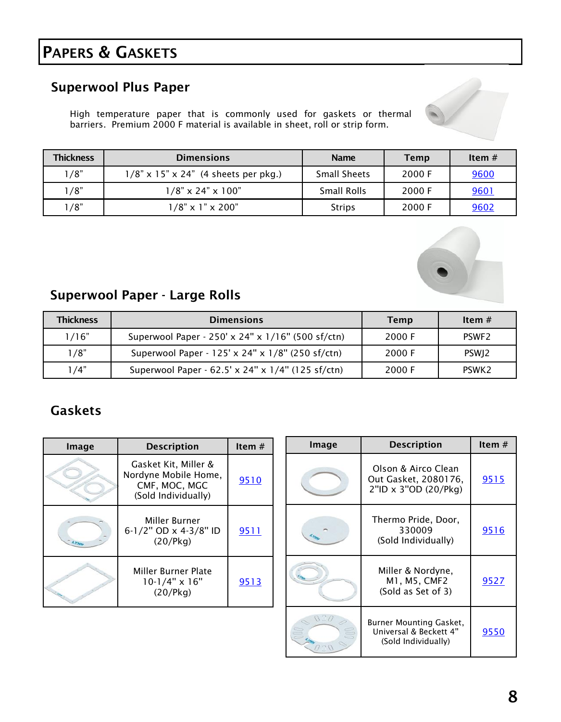# PAPERS & GASKETS

# Superwool Plus Paper

High temperature paper that is commonly used for gaskets or thermal barriers. Premium 2000 F material is available in sheet, roll or strip form.



| <b>Thickness</b> | <b>Dimensions</b>                       | <b>Name</b>         | <b>Temp</b> | Item $#$ |
|------------------|-----------------------------------------|---------------------|-------------|----------|
| 1/8"             | $1/8$ " x 15" x 24" (4 sheets per pkg.) | <b>Small Sheets</b> | 2000 F      | 9600     |
| 1/8"             | $1/8$ " x 24" x 100"                    | <b>Small Rolls</b>  | 2000 F      | 9601     |
| 1/8"             | $1/8$ " x $1$ " x 200"                  | <b>Strips</b>       | 2000 F      | 9602     |



# Superwool Paper - Large Rolls

| <b>Thickness</b> | <b>Dimensions</b>                                 | Temp   | Item $#$          |
|------------------|---------------------------------------------------|--------|-------------------|
| 1/16"            | Superwool Paper - 250' x 24" x 1/16" (500 sf/ctn) | 2000 F | PSWF <sub>2</sub> |
| 1/8"             | Superwool Paper - 125' x 24" x 1/8" (250 sf/ctn)  | 2000 F | PSWI <sub>2</sub> |
| 1 / 4"           | Superwool Paper - 62.5' x 24" x 1/4" (125 sf/ctn) | 2000 F | PSWK <sub>2</sub> |

# Gaskets

| Image | <b>Description</b>                                                                   | Item $#$    |
|-------|--------------------------------------------------------------------------------------|-------------|
|       | Gasket Kit, Miller &<br>Nordyne Mobile Home,<br>CMF, MOC, MGC<br>(Sold Individually) | <u>9510</u> |
|       | Miller Burner<br>6-1/2" OD x 4-3/8" ID<br>(20/Pkg)                                   | 9511        |
|       | Miller Burner Plate<br>$10-1/4"$ x 16"<br>(20/Pkg)                                   | 9513        |

| Image | <b>Description</b>                                                              | Item $#$    |
|-------|---------------------------------------------------------------------------------|-------------|
|       | Olson & Airco Clean<br>Out Gasket, 2080176,<br>2"ID x 3"OD (20/Pkg)             | <u>9515</u> |
|       | Thermo Pride, Door,<br>330009<br>(Sold Individually)                            | 9516        |
|       | Miller & Nordyne,<br>M1, M5, CMF2<br>(Sold as Set of 3)                         | 9527        |
|       | <b>Burner Mounting Gasket,</b><br>Universal & Beckett 4"<br>(Sold Individually) | <u>9550</u> |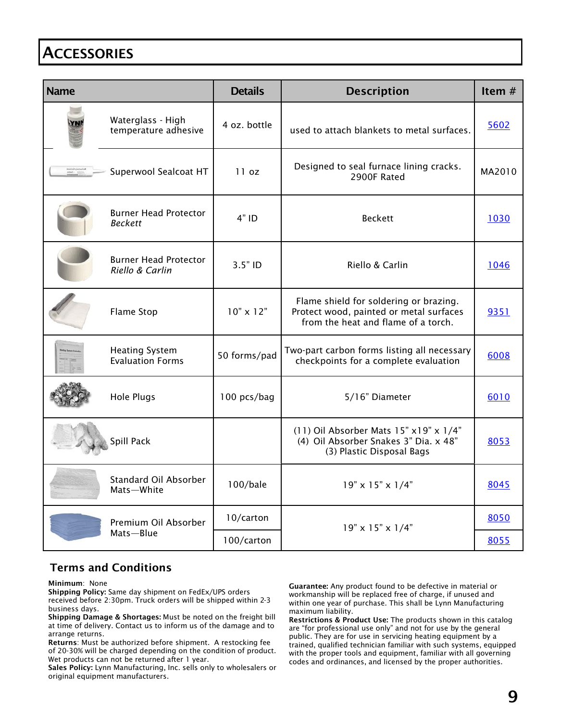# **ACCESSORIES**

| <b>Name</b>                    |                                                  | <b>Details</b>   | <b>Description</b>                                                                                                       | Item $#$ |
|--------------------------------|--------------------------------------------------|------------------|--------------------------------------------------------------------------------------------------------------------------|----------|
|                                | Waterglass - High<br>temperature adhesive        | 4 oz. bottle     | used to attach blankets to metal surfaces.                                                                               | 5602     |
| Autrick Consent<br>1755 - 1865 | Superwool Sealcoat HT                            | 11 oz            | Designed to seal furnace lining cracks.<br>2900F Rated                                                                   | MA2010   |
|                                | <b>Burner Head Protector</b><br><b>Beckett</b>   | $4"$ ID          | <b>Beckett</b>                                                                                                           | 1030     |
|                                | <b>Burner Head Protector</b><br>Riello & Carlin  | $3.5"$ ID        | Riello & Carlin                                                                                                          | 1046     |
|                                | <b>Flame Stop</b>                                | $10" \times 12"$ | Flame shield for soldering or brazing.<br>Protect wood, painted or metal surfaces<br>from the heat and flame of a torch. | 9351     |
|                                | <b>Heating System</b><br><b>Evaluation Forms</b> | 50 forms/pad     | Two-part carbon forms listing all necessary<br>checkpoints for a complete evaluation                                     | 6008     |
|                                | <b>Hole Plugs</b>                                | 100 pcs/bag      | 5/16" Diameter                                                                                                           | 6010     |
|                                | Spill Pack                                       |                  | (11) Oil Absorber Mats 15" x19" x 1/4"<br>(4) Oil Absorber Snakes 3" Dia. x 48"<br>(3) Plastic Disposal Bags             | 8053     |
|                                | Standard Oil Absorber<br>Mats-White              | 100/bale         | $19" \times 15" \times 1/4"$                                                                                             | 8045     |
| Premium Oil Absorber           |                                                  | 10/carton        | $19" \times 15" \times 1/4"$                                                                                             | 8050     |
|                                | Mats-Blue                                        | 100/carton       |                                                                                                                          | 8055     |

#### Terms and Conditions

Minimum: None

Shipping Policy: Same day shipment on FedEx/UPS orders received before 2:30pm. Truck orders will be shipped within 2-3 business days.

Shipping Damage & Shortages: Must be noted on the freight bill at time of delivery. Contact us to inform us of the damage and to arrange returns.

Returns: Must be authorized before shipment. A restocking fee of 20-30% will be charged depending on the condition of product. Wet products can not be returned after 1 year.

Sales Policy: Lynn Manufacturing, Inc. sells only to wholesalers or original equipment manufacturers.

Guarantee: Any product found to be defective in material or workmanship will be replaced free of charge, if unused and within one year of purchase. This shall be Lynn Manufacturing maximum liability.

Restrictions & Product Use: The products shown in this catalog are "for professional use only" and not for use by the general public. They are for use in servicing heating equipment by a trained, qualified technician familiar with such systems, equipped with the proper tools and equipment, familiar with all governing codes and ordinances, and licensed by the proper authorities.